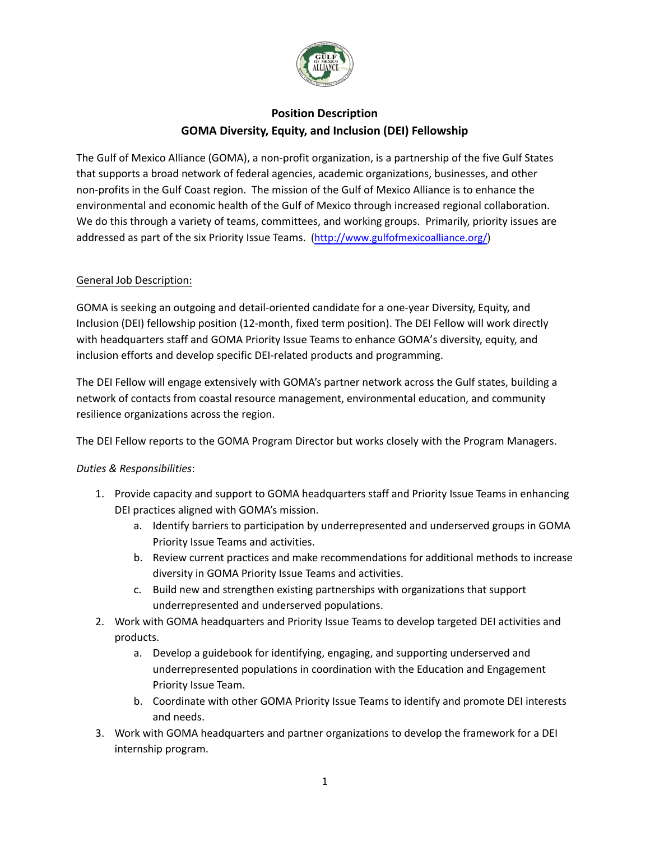

# **Position Description GOMA Diversity, Equity, and Inclusion (DEI) Fellowship**

The Gulf of Mexico Alliance (GOMA), a non-profit organization, is a partnership of the five Gulf States that supports a broad network of federal agencies, academic organizations, businesses, and other non-profits in the Gulf Coast region. The mission of the Gulf of Mexico Alliance is to enhance the environmental and economic health of the Gulf of Mexico through increased regional collaboration. We do this through a variety of teams, committees, and working groups. Primarily, priority issues are addressed as part of the six Priority Issue Teams. [\(http://www.gulfofmexicoalliance.org/](http://www.gulfofmexicoalliance.org/))

#### General Job Description:

GOMA is seeking an outgoing and detail-oriented candidate for a one-year Diversity, Equity, and Inclusion (DEI) fellowship position (12-month, fixed term position). The DEI Fellow will work directly with headquarters staff and GOMA Priority Issue Teams to enhance GOMA's diversity, equity, and inclusion efforts and develop specific DEI-related products and programming.

The DEI Fellow will engage extensively with GOMA's partner network across the Gulf states, building a network of contacts from coastal resource management, environmental education, and community resilience organizations across the region.

The DEI Fellow reports to the GOMA Program Director but works closely with the Program Managers.

#### *Duties & Responsibilities*:

- 1. Provide capacity and support to GOMA headquarters staff and Priority Issue Teams in enhancing DEI practices aligned with GOMA's mission.
	- a. Identify barriers to participation by underrepresented and underserved groups in GOMA Priority Issue Teams and activities.
	- b. Review current practices and make recommendations for additional methods to increase diversity in GOMA Priority Issue Teams and activities.
	- c. Build new and strengthen existing partnerships with organizations that support underrepresented and underserved populations.
- 2. Work with GOMA headquarters and Priority Issue Teams to develop targeted DEI activities and products.
	- a. Develop a guidebook for identifying, engaging, and supporting underserved and underrepresented populations in coordination with the Education and Engagement Priority Issue Team.
	- b. Coordinate with other GOMA Priority Issue Teams to identify and promote DEI interests and needs.
- 3. Work with GOMA headquarters and partner organizations to develop the framework for a DEI internship program.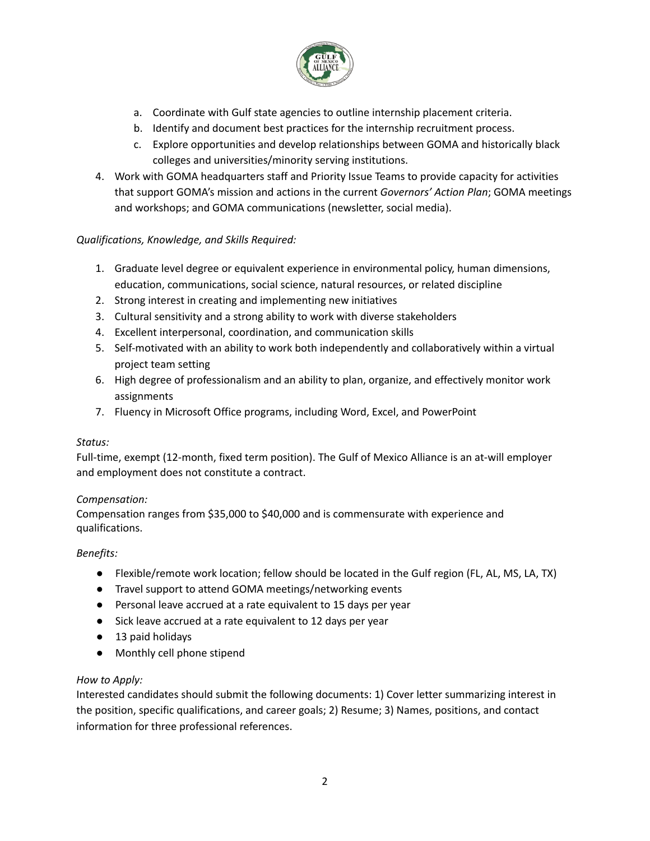

- a. Coordinate with Gulf state agencies to outline internship placement criteria.
- b. Identify and document best practices for the internship recruitment process.
- c. Explore opportunities and develop relationships between GOMA and historically black colleges and universities/minority serving institutions.
- 4. Work with GOMA headquarters staff and Priority Issue Teams to provide capacity for activities that support GOMA's mission and actions in the current *Governors' Action Plan*; GOMA meetings and workshops; and GOMA communications (newsletter, social media).

# *Qualifications, Knowledge, and Skills Required:*

- 1. Graduate level degree or equivalent experience in environmental policy, human dimensions, education, communications, social science, natural resources, or related discipline
- 2. Strong interest in creating and implementing new initiatives
- 3. Cultural sensitivity and a strong ability to work with diverse stakeholders
- 4. Excellent interpersonal, coordination, and communication skills
- 5. Self-motivated with an ability to work both independently and collaboratively within a virtual project team setting
- 6. High degree of professionalism and an ability to plan, organize, and effectively monitor work assignments
- 7. Fluency in Microsoft Office programs, including Word, Excel, and PowerPoint

#### *Status:*

Full-time, exempt (12-month, fixed term position). The Gulf of Mexico Alliance is an at-will employer and employment does not constitute a contract.

# *Compensation:*

Compensation ranges from \$35,000 to \$40,000 and is commensurate with experience and qualifications.

# *Benefits:*

- Flexible/remote work location; fellow should be located in the Gulf region (FL, AL, MS, LA, TX)
- Travel support to attend GOMA meetings/networking events
- Personal leave accrued at a rate equivalent to 15 days per year
- Sick leave accrued at a rate equivalent to 12 days per year
- 13 paid holidays
- Monthly cell phone stipend

# *How to Apply:*

Interested candidates should submit the following documents: 1) Cover letter summarizing interest in the position, specific qualifications, and career goals; 2) Resume; 3) Names, positions, and contact information for three professional references.